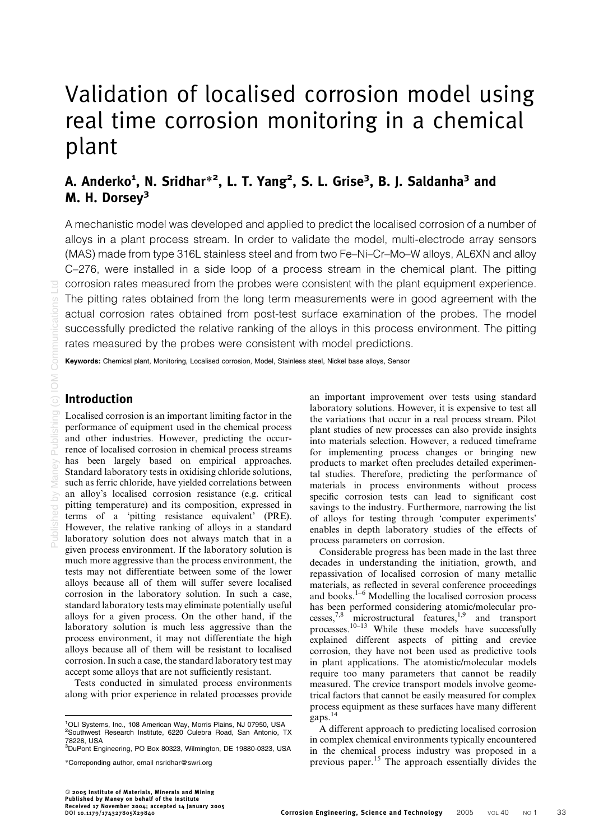# Validation of localised corrosion model using real time corrosion monitoring in a chemical plant

# A. Anderko<sup>1</sup>, N. Sridhar\*<sup>2</sup>, L. T. Yang<sup>2</sup>, S. L. Grise<sup>3</sup>, B. J. Saldanha<sup>3</sup> and M. H. Dorsey<sup>3</sup>

A mechanistic model was developed and applied to predict the localised corrosion of a number of alloys in a plant process stream. In order to validate the model, multi-electrode array sensors (MAS) made from type 316L stainless steel and from two Fe–Ni–Cr–Mo–W alloys, AL6XN and alloy C–276, were installed in a side loop of a process stream in the chemical plant. The pitting corrosion rates measured from the probes were consistent with the plant equipment experience. The pitting rates obtained from the long term measurements were in good agreement with the actual corrosion rates obtained from post-test surface examination of the probes. The model successfully predicted the relative ranking of the alloys in this process environment. The pitting rates measured by the probes were consistent with model predictions.

Keywords: Chemical plant, Monitoring, Localised corrosion, Model, Stainless steel, Nickel base alloys, Sensor

## Introduction

Localised corrosion is an important limiting factor in the performance of equipment used in the chemical process and other industries. However, predicting the occurrence of localised corrosion in chemical process streams has been largely based on empirical approaches. Standard laboratory tests in oxidising chloride solutions, such as ferric chloride, have yielded correlations between an alloy's localised corrosion resistance (e.g. critical pitting temperature) and its composition, expressed in terms of a 'pitting resistance equivalent' (PRE). However, the relative ranking of alloys in a standard laboratory solution does not always match that in a given process environment. If the laboratory solution is much more aggressive than the process environment, the tests may not differentiate between some of the lower alloys because all of them will suffer severe localised corrosion in the laboratory solution. In such a case, standard laboratory tests may eliminate potentially useful alloys for a given process. On the other hand, if the laboratory solution is much less aggressive than the process environment, it may not differentiate the high alloys because all of them will be resistant to localised corrosion. In such a case, the standard laboratory test may accept some alloys that are not sufficiently resistant.

Tests conducted in simulated process environments along with prior experience in related processes provide an important improvement over tests using standard laboratory solutions. However, it is expensive to test all the variations that occur in a real process stream. Pilot plant studies of new processes can also provide insights into materials selection. However, a reduced timeframe for implementing process changes or bringing new products to market often precludes detailed experimental studies. Therefore, predicting the performance of materials in process environments without process specific corrosion tests can lead to significant cost savings to the industry. Furthermore, narrowing the list of alloys for testing through 'computer experiments' enables in depth laboratory studies of the effects of process parameters on corrosion.

Considerable progress has been made in the last three decades in understanding the initiation, growth, and repassivation of localised corrosion of many metallic materials, as reflected in several conference proceedings and books.<sup>1–6</sup> Modelling the localised corrosion process has been performed considering atomic/molecular pro $cesses,7,8$  microstructural features,<sup>1,9</sup> and transport processes.<sup>10–13</sup> While these models have successfully explained different aspects of pitting and crevice corrosion, they have not been used as predictive tools in plant applications. The atomistic/molecular models require too many parameters that cannot be readily measured. The crevice transport models involve geometrical factors that cannot be easily measured for complex process equipment as these surfaces have many different gaps.14

A different approach to predicting localised corrosion in complex chemical environments typically encountered in the chemical process industry was proposed in a previous paper.<sup>15</sup> The approach essentially divides the

<sup>&</sup>lt;sup>1</sup>OLI Systems, Inc., 108 American Way, Morris Plains, NJ 07950, USA 2 Southwest Research Institute, 6220 Culebra Road, San Antonio, TX 78228, USA 3 DuPont Engineering, PO Box 80323, Wilmington, DE 19880-0323, USA

<sup>\*</sup>Correponding author, email nsridhar@swri.org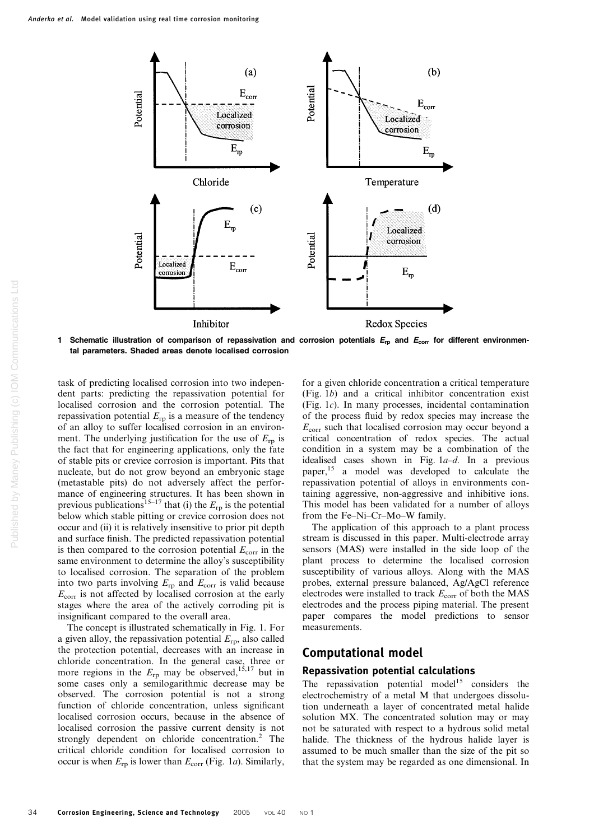

Schematic illustration of comparison of repassivation and corrosion potentials  $E_{\text{ro}}$  and  $E_{\text{corr}}$  for different environmental parameters. Shaded areas denote localised corrosion

task of predicting localised corrosion into two independent parts: predicting the repassivation potential for localised corrosion and the corrosion potential. The repassivation potential  $E_{\text{rp}}$  is a measure of the tendency of an alloy to suffer localised corrosion in an environment. The underlying justification for the use of  $E_{\text{rn}}$  is the fact that for engineering applications, only the fate of stable pits or crevice corrosion is important. Pits that nucleate, but do not grow beyond an embryonic stage (metastable pits) do not adversely affect the performance of engineering structures. It has been shown in previous publications<sup>15–17</sup> that (i) the  $E_{\text{rp}}$  is the potential below which stable pitting or crevice corrosion does not occur and (ii) it is relatively insensitive to prior pit depth and surface finish. The predicted repassivation potential is then compared to the corrosion potential  $E_{\text{corr}}$  in the same environment to determine the alloy's susceptibility to localised corrosion. The separation of the problem into two parts involving  $E_{\text{rp}}$  and  $E_{\text{corr}}$  is valid because  $E_{\text{corr}}$  is not affected by localised corrosion at the early stages where the area of the actively corroding pit is insignificant compared to the overall area.

The concept is illustrated schematically in Fig. 1. For a given alloy, the repassivation potential  $E_{\text{rp}}$ , also called the protection potential, decreases with an increase in chloride concentration. In the general case, three or more regions in the  $E_{\text{rp}}$  may be observed,<sup>15,17</sup> but in some cases only a semilogarithmic decrease may be observed. The corrosion potential is not a strong function of chloride concentration, unless significant localised corrosion occurs, because in the absence of localised corrosion the passive current density is not strongly dependent on chloride concentration.<sup>2</sup> The critical chloride condition for localised corrosion to occur is when  $E_{\text{rp}}$  is lower than  $E_{\text{corr}}$  (Fig. 1*a*). Similarly, for a given chloride concentration a critical temperature (Fig. 1b) and a critical inhibitor concentration exist (Fig. 1c). In many processes, incidental contamination of the process fluid by redox species may increase the  $E<sub>corr</sub>$  such that localised corrosion may occur beyond a critical concentration of redox species. The actual condition in a system may be a combination of the idealised cases shown in Fig.  $1a-d$ . In a previous paper,15 a model was developed to calculate the repassivation potential of alloys in environments containing aggressive, non-aggressive and inhibitive ions. This model has been validated for a number of alloys from the Fe–Ni–Cr–Mo–W family.

The application of this approach to a plant process stream is discussed in this paper. Multi-electrode array sensors (MAS) were installed in the side loop of the plant process to determine the localised corrosion susceptibility of various alloys. Along with the MAS probes, external pressure balanced, Ag/AgCl reference electrodes were installed to track  $E_{\text{corr}}$  of both the MAS electrodes and the process piping material. The present paper compares the model predictions to sensor measurements.

## Computational model

## Repassivation potential calculations

The repassivation potential model<sup>15</sup> considers the electrochemistry of a metal M that undergoes dissolution underneath a layer of concentrated metal halide solution MX. The concentrated solution may or may not be saturated with respect to a hydrous solid metal halide. The thickness of the hydrous halide layer is assumed to be much smaller than the size of the pit so that the system may be regarded as one dimensional. In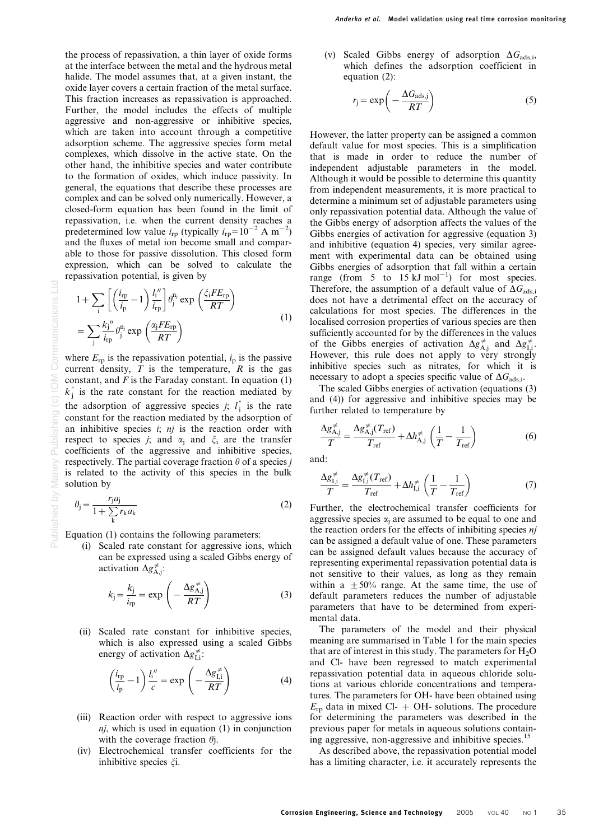the process of repassivation, a thin layer of oxide forms at the interface between the metal and the hydrous metal halide. The model assumes that, at a given instant, the oxide layer covers a certain fraction of the metal surface. This fraction increases as repassivation is approached. Further, the model includes the effects of multiple aggressive and non-aggressive or inhibitive species, which are taken into account through a competitive adsorption scheme. The aggressive species form metal complexes, which dissolve in the active state. On the other hand, the inhibitive species and water contribute to the formation of oxides, which induce passivity. In general, the equations that describe these processes are complex and can be solved only numerically. However, a closed-form equation has been found in the limit of repassivation, i.e. when the current density reaches a predetermined low value  $i_{\text{rp}}$  (typically  $i_{\text{rp}}=10^{-2} \text{ A m}^{-2}$ ) and the fluxes of metal ion become small and comparable to those for passive dissolution. This closed form expression, which can be solved to calculate the repassivation potential, is given by  $1+\sum$  $\left\langle i_{\text{rp}}\right\rangle _{1}$  $i_{\rm p}$  $-1$  $\left[\left(\frac{i_{\rm rp}}{i_{\rm p}}-1\right)\frac{l_{\rm i}''}{i_{\rm rp}}\right]\theta$ nj  $j^{\mu_j}$  exp  $\left(\frac{\xi_i F E_{\text{rp}}}{RT}\right)$ 

$$
1 + \sum_{i} \left[ \left( \frac{l_{\rm rp}}{i_{\rm p}} - 1 \right) \frac{l_{\rm i}}{i_{\rm rp}} \right] \theta_{\rm j}^{\rm n_{\rm j}} \exp\left( \frac{\zeta_{\rm i} F E_{\rm rp}}{RT} \right)
$$
  
= 
$$
\sum_{\rm j} \frac{k_{\rm j}^{\prime \prime}}{i_{\rm rp}} \theta_{\rm j}^{\rm n_{\rm j}} \exp\left( \frac{\alpha_{\rm j} F E_{\rm rp}}{RT} \right)
$$
 (1)

where  $E_{\text{rp}}$  is the repassivation potential,  $i_{\text{p}}$  is the passive current density,  $\overrightarrow{T}$  is the temperature,  $\overrightarrow{R}$  is the gas constant, and  $F$  is the Faraday constant. In equation (1)  $k_j^{\prime}$  is the rate constant for the reaction mediated by the adsorption of aggressive species  $j$ ;  $l_i$  is the rate constant for the reaction mediated by the adsorption of an inhibitive species  $i$ ;  $nj$  is the reaction order with respect to species j; and  $\alpha_i$  and  $\xi_i$  are the transfer coefficients of the aggressive and inhibitive species, respectively. The partial coverage fraction  $\theta$  of a species j is related to the activity of this species in the bulk solution by

$$
\theta_{\mathbf{j}} = \frac{r_{\mathbf{j}} a_{\mathbf{j}}}{1 + \sum_{\mathbf{k}} r_{\mathbf{k}} a_{\mathbf{k}}} \tag{2}
$$

Equation (1) contains the following parameters:

(i) Scaled rate constant for aggressive ions, which can be expressed using a scaled Gibbs energy of activation  $\Delta g_{\text{A},j}^{\neq}$ :

$$
k_{\rm j} = \frac{k_{\rm j}}{i_{\rm rp}} = \exp\left(-\frac{\Delta g_{\rm A,j}^{\neq}}{RT}\right) \tag{3}
$$

(ii) Scaled rate constant for inhibitive species, which is also expressed using a scaled Gibbs energy of activation  $\Delta g_{\text{I},i}^{\neq}$ :

$$
\left(\frac{i_{\rm rp}}{i_{\rm p}} - 1\right) \frac{l_{\rm i}''}{c} = \exp\left(-\frac{\Delta g_{\rm I,i}^{\neq}}{RT}\right) \tag{4}
$$

- (iii) Reaction order with respect to aggressive ions  $ni$ , which is used in equation (1) in conjunction with the coverage fraction  $\theta$ .
- (iv) Electrochemical transfer coefficients for the inhibitive species  $\xi$ *i*.

(v) Scaled Gibbs energy of adsorption  $\Delta G_{\text{ads},i}$ , which defines the adsorption coefficient in equation (2):

$$
r_{\rm j} = \exp\left(-\frac{\Delta G_{\rm ads,j}}{RT}\right) \tag{5}
$$

However, the latter property can be assigned a common default value for most species. This is a simplification that is made in order to reduce the number of independent adjustable parameters in the model. Although it would be possible to determine this quantity from independent measurements, it is more practical to determine a minimum set of adjustable parameters using only repassivation potential data. Although the value of the Gibbs energy of adsorption affects the values of the Gibbs energies of activation for aggressive (equation 3) and inhibitive (equation 4) species, very similar agreement with experimental data can be obtained using Gibbs energies of adsorption that fall within a certain range (from 5 to  $15 \text{ kJ mol}^{-1}$ ) for most species. Therefore, the assumption of a default value of  $\Delta G_{\text{ads},i}$ does not have a detrimental effect on the accuracy of calculations for most species. The differences in the localised corrosion properties of various species are then sufficiently accounted for by the differences in the values of the Gibbs energies of activation  $\Delta g_{A,j}^{\neq}$  and  $\Delta g_{I,i}^{\neq}$ . However, this rule does not apply to very strongly inhibitive species such as nitrates, for which it is necessary to adopt a species specific value of  $\Delta G_{\text{ads,i}}$ .

The scaled Gibbs energies of activation (equations (3) and (4)) for aggressive and inhibitive species may be further related to temperature by

$$
\frac{\Delta g_{A,j}^{\neq}}{T} = \frac{\Delta g_{A,j}^{\neq}(T_{\text{ref}})}{T_{\text{ref}}} + \Delta h_{A,j}^{\neq} \left(\frac{1}{T} - \frac{1}{T_{\text{ref}}}\right)
$$
(6)

and:

$$
\frac{\Delta g_{\mathrm{I},i}^{\neq}}{T} = \frac{\Delta g_{\mathrm{I},i}^{\neq}(T_{\mathrm{ref}})}{T_{\mathrm{ref}}} + \Delta h_{\mathrm{I},i}^{\neq} \left(\frac{1}{T} - \frac{1}{T_{\mathrm{ref}}}\right) \tag{7}
$$

Further, the electrochemical transfer coefficients for aggressive species  $\alpha_i$  are assumed to be equal to one and the reaction orders for the effects of inhibiting species  $nj$ can be assigned a default value of one. These parameters can be assigned default values because the accuracy of representing experimental repassivation potential data is not sensitive to their values, as long as they remain within a  $\pm 50\%$  range. At the same time, the use of default parameters reduces the number of adjustable parameters that have to be determined from experimental data.

The parameters of the model and their physical meaning are summarised in Table 1 for the main species that are of interest in this study. The parameters for  $H_2O$ and Cl- have been regressed to match experimental repassivation potential data in aqueous chloride solutions at various chloride concentrations and temperatures. The parameters for OH- have been obtained using  $E_{\text{rp}}$  data in mixed Cl- + OH- solutions. The procedure for determining the parameters was described in the previous paper for metals in aqueous solutions containing aggressive, non-aggressive and inhibitive species.<sup>15</sup>

As described above, the repassivation potential model has a limiting character, i.e. it accurately represents the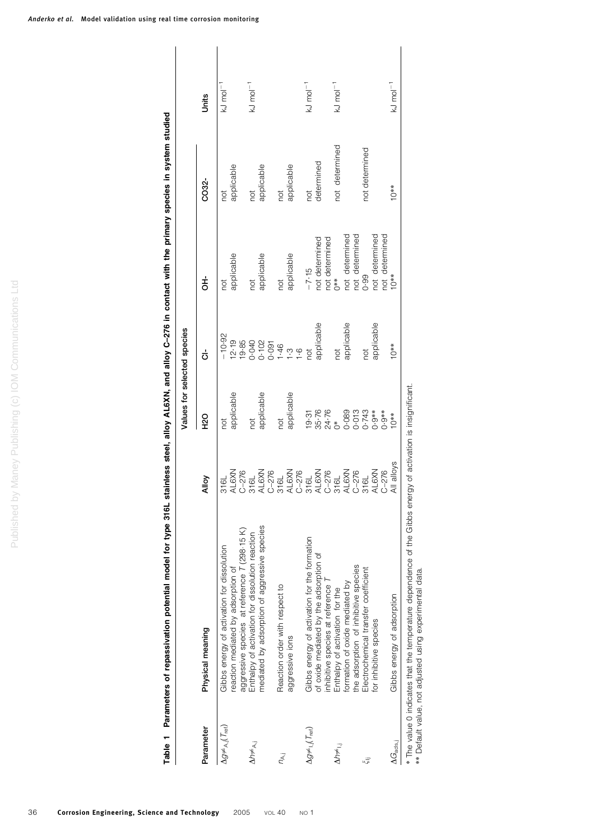|                                                                   |                                                                                                                                      |                                                                                                                                               | Values for selected species            |            |                                         |                    |                                     |
|-------------------------------------------------------------------|--------------------------------------------------------------------------------------------------------------------------------------|-----------------------------------------------------------------------------------------------------------------------------------------------|----------------------------------------|------------|-----------------------------------------|--------------------|-------------------------------------|
| Parameter                                                         | Physical meaning                                                                                                                     | Alloy                                                                                                                                         | 오<br>오                                 | ಕ          | さ                                       | CO <sub>32</sub> - | Units                               |
| $\Delta g \neq_{\mathsf{A},\mathsf{i}} (\mathsf{1}_\mathsf{ref})$ | Gibbs energy of activation for dissolution                                                                                           | 316L                                                                                                                                          | ħ                                      | $-10.92$   | pot                                     | pot                | $kJ$ mol <sup>-1</sup>              |
|                                                                   | reaction mediated by adsorption of                                                                                                   |                                                                                                                                               | applicable                             |            | applicable                              | applicable         |                                     |
| $\Delta h \neq_{\rm A, j}$                                        | aggressive species at reference T (298-15 K)<br>Enthalpy of activation for dissolution reaction                                      | 2022<br>2022 - 2022 - 2022 - 2022<br>2022 - 2022 - 2022 - 2022<br>2022 - 2022 - 2022 - 2022 - 2022<br>2022 - 2022 - 2022 - 2022 - 2022 - 2022 | pot                                    |            | tot                                     | tot                | $kJ$ mol <sup>-1</sup>              |
|                                                                   | mediated by adsorption of aggressive species                                                                                         |                                                                                                                                               | applicable                             |            | applicable                              | applicable         |                                     |
|                                                                   |                                                                                                                                      |                                                                                                                                               |                                        |            |                                         |                    |                                     |
| $n_{\mathsf{A},j}$                                                | Reaction order with respect to                                                                                                       |                                                                                                                                               | pp                                     |            | pot                                     | pot                |                                     |
|                                                                   | aggressive ions                                                                                                                      |                                                                                                                                               | applicable                             |            | applicable                              | applicable         |                                     |
|                                                                   |                                                                                                                                      |                                                                                                                                               |                                        |            |                                         |                    |                                     |
| $\Delta g \neq_{1,\mathsf{i}} (\mathsf{T}_{\mathsf{ref}})$        | Gibbs energy of activation for the formation                                                                                         |                                                                                                                                               |                                        |            | $-7.15$                                 | hot                | $kJ$ mol <sup><math>-1</math></sup> |
|                                                                   | of oxide mediated by the adsorption of                                                                                               |                                                                                                                                               | $19.76$<br>$9.76$<br>$24.76$<br>$24.5$ | applicable | not determined<br>not determined<br>0** | determined         |                                     |
|                                                                   | inhibitive species at reference T                                                                                                    |                                                                                                                                               |                                        |            |                                         |                    |                                     |
| $\Delta h \neq_{\rm{Lj}}$                                         | Enthalpy of activation for the                                                                                                       |                                                                                                                                               |                                        | ă          |                                         | not determined     | $kJ$ mol <sup><math>-1</math></sup> |
|                                                                   | formation of oxide mediated by                                                                                                       |                                                                                                                                               |                                        | applicable | not determined                          |                    |                                     |
|                                                                   | the adsorption of inhibitive species                                                                                                 | AL6XN<br>C-276<br>316L                                                                                                                        |                                        |            | not determined<br>0-99                  |                    |                                     |
| ψ,                                                                | Electrochemical transfer coefficient                                                                                                 |                                                                                                                                               |                                        | tot        |                                         | not determined     |                                     |
|                                                                   | for inhibitive species                                                                                                               | <b>AL6XN</b>                                                                                                                                  | 08073*<br>05775<br>00000               | applicable | not determined                          |                    |                                     |
|                                                                   |                                                                                                                                      | $C - 276$                                                                                                                                     |                                        |            | not determined                          |                    |                                     |
| $\Delta G_{\rm ads, j}$                                           | Gibbs energy of adsorption                                                                                                           | All alloys                                                                                                                                    | $\sum_{k=0}^{n}$                       | $10**$     | $10**$                                  | $10**$             | $kJ$ mol <sup>-1</sup>              |
|                                                                   | * The value 0 indicates that the temperature dependence of the Gibbs ener<br>** Default value, not adjusted using experimental data. | gy of activation is insignificant.                                                                                                            |                                        |            |                                         |                    |                                     |

Table 1 Parameters of repassivation potential model for type 316L stainless steel, alloy AL6XN, and alloy C-276 in contact with the primary species in system studied Table 1 Parameters of repassivation potential model for type 316L stainless steel, alloy AL6XN, and alloy C–276 in contact with the primary species in system studied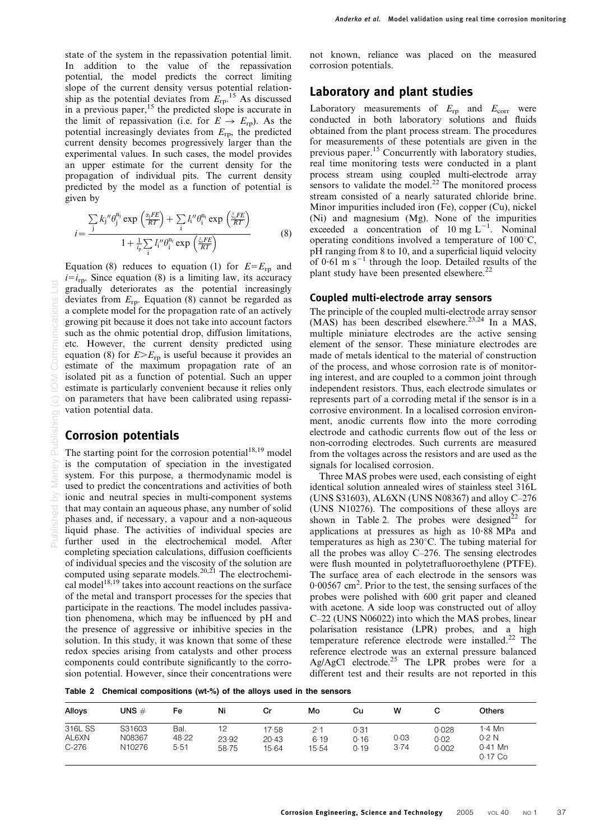state of the system in the repassivation potential limit. In addition to the value of the repassivation potential, the model predicts the correct limiting slope of the current density versus potential relationship as the potential deviates from  $\hat{E}_{\text{rp}}$ .<sup>15</sup> As discussed in a previous paper,<sup>15</sup> the predicted slope is accurate in the limit of repassivation (i.e. for  $E \to E_{\text{rp}}$ ). As the potential increasingly deviates from  $E_{\text{rp}}$ , the predicted current density becomes progressively larger than the experimental values. In such cases, the model provides an upper estimate for the current density for the propagation of individual pits. The current density predicted by the model as a function of potential is given by

$$
i = \frac{\sum_{j} k_{j}^{"} \theta_{j}^{\mathrm{n}_{\mathrm{i}}} \exp\left(\frac{\alpha_{\mathrm{i}} F E}{RT}\right) + \sum_{i} l_{i}^{"} \theta_{i}^{\mathrm{n}_{\mathrm{i}}} \exp\left(\frac{\xi_{i} F E}{RT}\right)}{1 + \frac{1}{i_{\mathrm{p}}} \sum_{i} l_{i}^{"} \theta_{i}^{\mathrm{n}_{\mathrm{i}}} \exp\left(\frac{\xi_{i} F E}{RT}\right)}
$$
(8)

Equation (8) reduces to equation (1) for  $E=E_{\text{rp}}$  and  $i=i<sub>rp</sub>$ . Since equation (8) is a limiting law, its accuracy gradually deteriorates as the potential increasingly deviates from  $E_{\text{rp}}$ . Equation (8) cannot be regarded as a complete model for the propagation rate of an actively growing pit because it does not take into account factors such as the ohmic potential drop, diffusion limitations, etc. However, the current density predicted using equation (8) for  $E>E_{\text{rp}}$  is useful because it provides an estimate of the maximum propagation rate of an isolated pit as a function of potential. Such an upper estimate is particularly convenient because it relies only on parameters that have been calibrated using repassivation potential data.

## Corrosion potentials

The starting point for the corrosion potential $18,19$  model is the computation of speciation in the investigated system. For this purpose, a thermodynamic model is used to predict the concentrations and activities of both ionic and neutral species in multi-component systems that may contain an aqueous phase, any number of solid phases and, if necessary, a vapour and a non-aqueous liquid phase. The activities of individual species are further used in the electrochemical model. After completing speciation calculations, diffusion coefficients of individual species and the viscosity of the solution are computed using separate models.<sup>20,21</sup> The electrochemical model<sup>18,19</sup> takes into account reactions on the surface of the metal and transport processes for the species that participate in the reactions. The model includes passivation phenomena, which may be influenced by pH and the presence of aggressive or inhibitive species in the solution. In this study, it was known that some of these redox species arising from catalysts and other process components could contribute significantly to the corrosion potential. However, since their concentrations were

not known, reliance was placed on the measured corrosion potentials.

## Laboratory and plant studies

Laboratory measurements of  $E_{\text{rp}}$  and  $E_{\text{corr}}$  were conducted in both laboratory solutions and fluids obtained from the plant process stream. The procedures for measurements of these potentials are given in the previous paper.15 Concurrently with laboratory studies, real time monitoring tests were conducted in a plant process stream using coupled multi-electrode array sensors to validate the model.<sup>22</sup> The monitored process stream consisted of a nearly saturated chloride brine. Minor impurities included iron (Fe), copper (Cu), nickel (Ni) and magnesium (Mg). None of the impurities exceeded a concentration of 10 mg  $L^{-1}$ . Nominal operating conditions involved a temperature of  $100^{\circ}$ C, pH ranging from 8 to 10, and a superficial liquid velocity of 0.61 m  $s^{-1}$  through the loop. Detailed results of the plant study have been presented elsewhere.<sup>22</sup>

#### Coupled multi-electrode array sensors

The principle of the coupled multi-electrode array sensor (MAS) has been described elsewhere.<sup>23,24</sup> In a MAS, multiple miniature electrodes are the active sensing element of the sensor. These miniature electrodes are made of metals identical to the material of construction of the process, and whose corrosion rate is of monitoring interest, and are coupled to a common joint through independent resistors. Thus, each electrode simulates or represents part of a corroding metal if the sensor is in a corrosive environment. In a localised corrosion environment, anodic currents flow into the more corroding electrode and cathodic currents flow out of the less or non-corroding electrodes. Such currents are measured from the voltages across the resistors and are used as the signals for localised corrosion.

Three MAS probes were used, each consisting of eight identical solution annealed wires of stainless steel 316L (UNS S31603), AL6XN (UNS N08367) and alloy C–276 (UNS N10276). The compositions of these alloys are shown in Table 2. The probes were designed<sup>22</sup> for applications at pressures as high as 10?88 MPa and temperatures as high as  $230^{\circ}$ C. The tubing material for all the probes was alloy C–276. The sensing electrodes were flush mounted in polytetrafluoroethylene (PTFE). The surface area of each electrode in the sensors was  $0.00567$  cm<sup>2</sup>. Prior to the test, the sensing surfaces of the probes were polished with 600 grit paper and cleaned with acetone. A side loop was constructed out of alloy C–22 (UNS N06022) into which the MAS probes, linear polarisation resistance (LPR) probes, and a high temperature reference electrode were installed.<sup>22</sup> The reference electrode was an external pressure balanced  $Ag/AgCl$  electrode.<sup>25</sup> The LPR probes were for a different test and their results are not reported in this

Table 2 Chemical compositions (wt-%) of the alloys used in the sensors

| Alloys                      | UNS $#$                    | Fe                    | Ni                   | Cr                      | Mo                   | Cu                   | w            |                        | Others                                      |
|-----------------------------|----------------------------|-----------------------|----------------------|-------------------------|----------------------|----------------------|--------------|------------------------|---------------------------------------------|
| 316L SS<br>AL6XN<br>$C-276$ | S31603<br>N08367<br>N10276 | Bal.<br>48.22<br>5.51 | 12<br>23.92<br>58.75 | 17.58<br>20.43<br>15.64 | 2·1<br>6.19<br>15.54 | 0.31<br>0.16<br>0.19 | 0.03<br>3.74 | 0.028<br>0.02<br>0.002 | $1.4$ Mn<br>0.2 N<br>$0.41$ Mn<br>$0.17$ Co |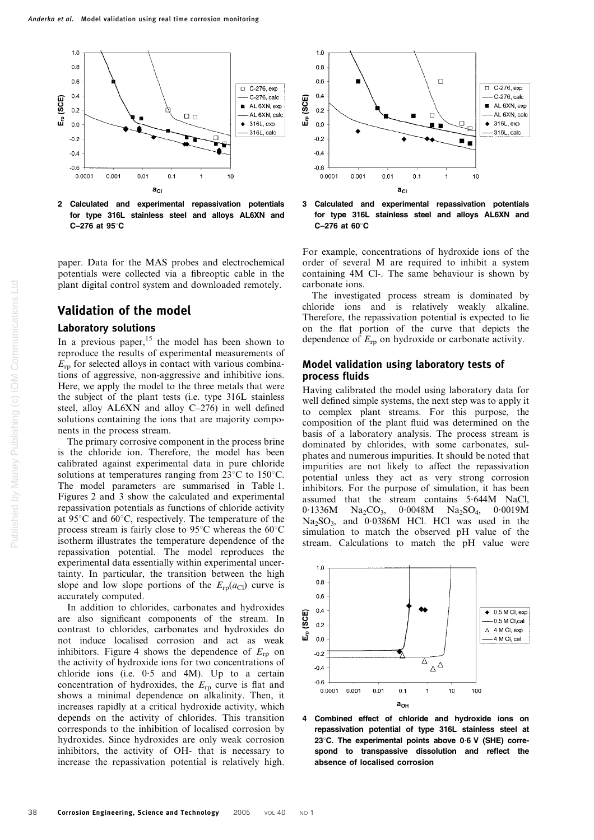

2 Calculated and experimental repassivation potentials for type 316L stainless steel and alloys AL6XN and C-276 at  $95^{\circ}$ C

paper. Data for the MAS probes and electrochemical potentials were collected via a fibreoptic cable in the plant digital control system and downloaded remotely.

## Validation of the model

#### Laboratory solutions

In a previous paper, $15$  the model has been shown to reproduce the results of experimental measurements of  $E_{\rm rp}$  for selected alloys in contact with various combinations of aggressive, non-aggressive and inhibitive ions. Here, we apply the model to the three metals that were the subject of the plant tests (i.e. type 316L stainless steel, alloy AL6XN and alloy C–276) in well defined solutions containing the ions that are majority components in the process stream.

The primary corrosive component in the process brine is the chloride ion. Therefore, the model has been calibrated against experimental data in pure chloride solutions at temperatures ranging from  $23^{\circ}$ C to  $150^{\circ}$ C. The model parameters are summarised in Table 1. Figures 2 and 3 show the calculated and experimental repassivation potentials as functions of chloride activity at  $95^{\circ}$ C and  $60^{\circ}$ C, respectively. The temperature of the process stream is fairly close to  $95^{\circ}$ C whereas the 60 $^{\circ}$ C isotherm illustrates the temperature dependence of the repassivation potential. The model reproduces the experimental data essentially within experimental uncertainty. In particular, the transition between the high slope and low slope portions of the  $E_{\text{rp}}(a_{\text{Cl}})$  curve is accurately computed.

In addition to chlorides, carbonates and hydroxides are also significant components of the stream. In contrast to chlorides, carbonates and hydroxides do not induce localised corrosion and act as weak inhibitors. Figure 4 shows the dependence of  $E_{\text{rp}}$  on the activity of hydroxide ions for two concentrations of chloride ions (i.e.  $0.5$  and 4M). Up to a certain concentration of hydroxides, the  $E_{\text{rp}}$  curve is flat and shows a minimal dependence on alkalinity. Then, it increases rapidly at a critical hydroxide activity, which depends on the activity of chlorides. This transition corresponds to the inhibition of localised corrosion by hydroxides. Since hydroxides are only weak corrosion inhibitors, the activity of OH- that is necessary to increase the repassivation potential is relatively high.



3 Calculated and experimental repassivation potentials for type 316L stainless steel and alloys AL6XN and  $C-276$  at  $60^{\circ}$ C

For example, concentrations of hydroxide ions of the order of several M are required to inhibit a system containing 4M Cl-. The same behaviour is shown by carbonate ions.

The investigated process stream is dominated by chloride ions and is relatively weakly alkaline. Therefore, the repassivation potential is expected to lie on the flat portion of the curve that depicts the dependence of  $E_{\rm rp}$  on hydroxide or carbonate activity.

#### Model validation using laboratory tests of process fluids

Having calibrated the model using laboratory data for well defined simple systems, the next step was to apply it to complex plant streams. For this purpose, the composition of the plant fluid was determined on the basis of a laboratory analysis. The process stream is dominated by chlorides, with some carbonates, sulphates and numerous impurities. It should be noted that impurities are not likely to affect the repassivation potential unless they act as very strong corrosion inhibitors. For the purpose of simulation, it has been assumed that the stream contains 5.644M NaCl, 0.1336M Na<sub>2</sub>CO<sub>3</sub>, 0.0048M Na<sub>2</sub>SO<sub>4</sub>, 0.0019M  $Na<sub>2</sub>SO<sub>3</sub>$ , and 0.0386M HCl. HCl was used in the simulation to match the observed pH value of the stream. Calculations to match the pH value were



4 Combined effect of chloride and hydroxide ions on repassivation potential of type 316L stainless steel at 23 $^{\circ}$ C. The experimental points above 0.6 V (SHE) correspond to transpassive dissolution and reflect the absence of localised corrosion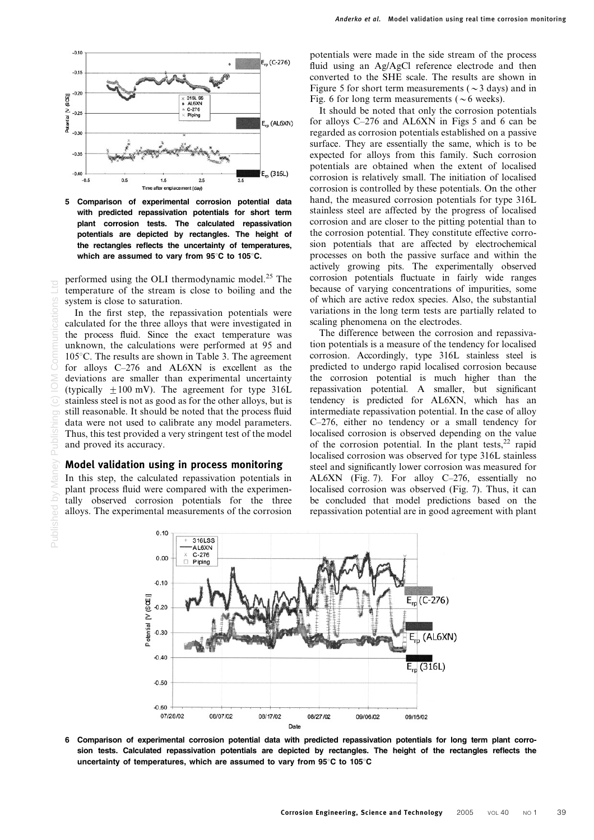

5 Comparison of experimental corrosion potential data with predicted repassivation potentials for short term plant corrosion tests. The calculated repassivation potentials are depicted by rectangles. The height of the rectangles reflects the uncertainty of temperatures, which are assumed to vary from  $95^{\circ}$ C to 105 $^{\circ}$ C.

performed using the OLI thermodynamic model. $^{25}$  The temperature of the stream is close to boiling and the system is close to saturation.

In the first step, the repassivation potentials were calculated for the three alloys that were investigated in the process fluid. Since the exact temperature was unknown, the calculations were performed at 95 and  $105^{\circ}$ C. The results are shown in Table 3. The agreement for alloys C–276 and AL6XN is excellent as the deviations are smaller than experimental uncertainty (typically  $\pm 100$  mV). The agreement for type 316L stainless steel is not as good as for the other alloys, but is still reasonable. It should be noted that the process fluid data were not used to calibrate any model parameters. Thus, this test provided a very stringent test of the model and proved its accuracy.

#### Model validation using in process monitoring

In this step, the calculated repassivation potentials in plant process fluid were compared with the experimentally observed corrosion potentials for the three alloys. The experimental measurements of the corrosion potentials were made in the side stream of the process fluid using an Ag/AgCl reference electrode and then converted to the SHE scale. The results are shown in Figure 5 for short term measurements ( $\sim$ 3 days) and in Fig. 6 for long term measurements ( $\sim$  6 weeks).

It should be noted that only the corrosion potentials for alloys C–276 and AL6XN in Figs 5 and 6 can be regarded as corrosion potentials established on a passive surface. They are essentially the same, which is to be expected for alloys from this family. Such corrosion potentials are obtained when the extent of localised corrosion is relatively small. The initiation of localised corrosion is controlled by these potentials. On the other hand, the measured corrosion potentials for type 316L stainless steel are affected by the progress of localised corrosion and are closer to the pitting potential than to the corrosion potential. They constitute effective corrosion potentials that are affected by electrochemical processes on both the passive surface and within the actively growing pits. The experimentally observed corrosion potentials fluctuate in fairly wide ranges because of varying concentrations of impurities, some of which are active redox species. Also, the substantial variations in the long term tests are partially related to scaling phenomena on the electrodes.

The difference between the corrosion and repassivation potentials is a measure of the tendency for localised corrosion. Accordingly, type 316L stainless steel is predicted to undergo rapid localised corrosion because the corrosion potential is much higher than the repassivation potential. A smaller, but significant tendency is predicted for AL6XN, which has an intermediate repassivation potential. In the case of alloy C–276, either no tendency or a small tendency for localised corrosion is observed depending on the value of the corrosion potential. In the plant tests,  $2^2$  rapid localised corrosion was observed for type 316L stainless steel and significantly lower corrosion was measured for AL6XN (Fig. 7). For alloy C–276, essentially no localised corrosion was observed (Fig. 7). Thus, it can be concluded that model predictions based on the repassivation potential are in good agreement with plant



6 Comparison of experimental corrosion potential data with predicted repassivation potentials for long term plant corrosion tests. Calculated repassivation potentials are depicted by rectangles. The height of the rectangles reflects the uncertainty of temperatures, which are assumed to vary from  $95^{\circ}$ C to 105°C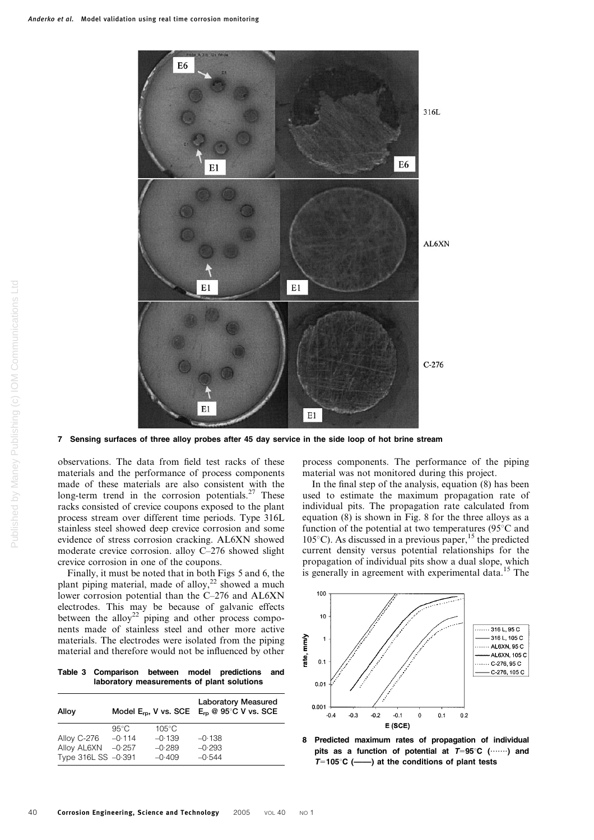

7 Sensing surfaces of three alloy probes after 45 day service in the side loop of hot brine stream

observations. The data from field test racks of these materials and the performance of process components made of these materials are also consistent with the long-term trend in the corrosion potentials.<sup>27</sup> These racks consisted of crevice coupons exposed to the plant process stream over different time periods. Type 316L stainless steel showed deep crevice corrosion and some evidence of stress corrosion cracking. AL6XN showed moderate crevice corrosion. alloy C–276 showed slight crevice corrosion in one of the coupons.

Finally, it must be noted that in both Figs 5 and 6, the plant piping material, made of alloy,<sup>22</sup> showed a much lower corrosion potential than the C–276 and AL6XN electrodes. This may be because of galvanic effects between the alloy<sup>22</sup> piping and other process components made of stainless steel and other more active materials. The electrodes were isolated from the piping material and therefore would not be influenced by other

Table 3 Comparison between model predictions and laboratory measurements of plant solutions

| Alloy               |          |                 | <b>Laboratory Measured</b><br>Model $E_{rp}$ , V vs. SCE $E_{rp} \otimes 95^\circ C$ V vs. SCE |  |  |  |
|---------------------|----------|-----------------|------------------------------------------------------------------------------------------------|--|--|--|
|                     | 95°C     | $105^{\circ}$ C |                                                                                                |  |  |  |
| Alloy C-276         | $-0.114$ | $-0.139$        | $-0.138$                                                                                       |  |  |  |
| Alloy AL6XN         | $-0.257$ | $-0.289$        | $-0.293$                                                                                       |  |  |  |
| Type 316L SS -0.391 |          | $-0.409$        | $-0.544$                                                                                       |  |  |  |

process components. The performance of the piping material was not monitored during this project.

In the final step of the analysis, equation (8) has been used to estimate the maximum propagation rate of individual pits. The propagation rate calculated from equation (8) is shown in Fig. 8 for the three alloys as a function of the potential at two temperatures ( $95^{\circ}$ C and  $105^{\circ}$ C). As discussed in a previous paper,<sup>15</sup> the predicted current density versus potential relationships for the propagation of individual pits show a dual slope, which is generally in agreement with experimental data.<sup>15</sup> The



8 Predicted maximum rates of propagation of individual pits as a function of potential at  $T=95^{\circ}$ C ( $\cdots$ ) and  $T=105^{\circ}$ C (-----) at the conditions of plant tests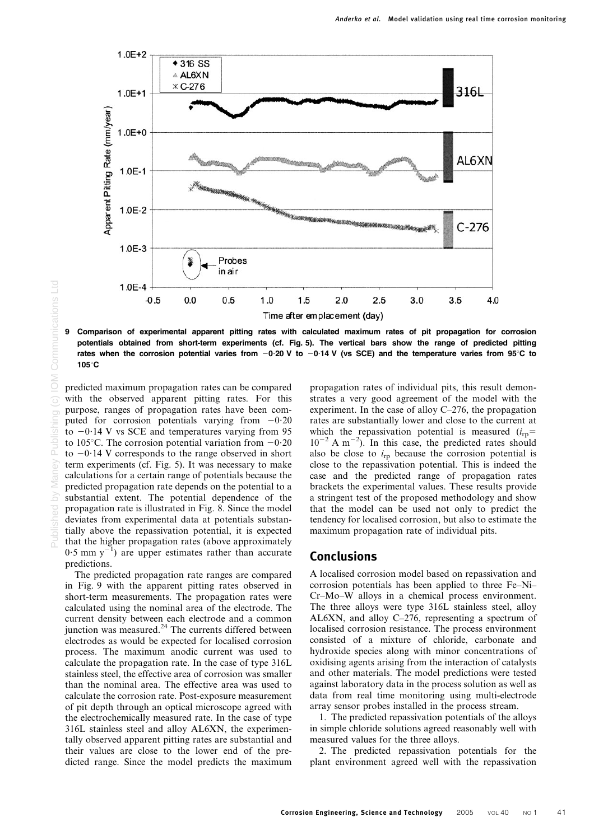

Comparison of experimental apparent pitting rates with calculated maximum rates of pit propagation for corrosion potentials obtained from short-term experiments (cf. Fig. 5). The vertical bars show the range of predicted pitting rates when the corrosion potential varies from  $-0.20$  V to  $-0.14$  V (vs SCE) and the temperature varies from 95°C to  $105^\circ C$ 

predicted maximum propagation rates can be compared with the observed apparent pitting rates. For this purpose, ranges of propagation rates have been computed for corrosion potentials varying from  $-0.20$ to  $-0.14$  V vs SCE and temperatures varying from 95 to 105 $^{\circ}$ C. The corrosion potential variation from  $-0.20$ to  $-0.14$  V corresponds to the range observed in short term experiments (cf. Fig. 5). It was necessary to make calculations for a certain range of potentials because the predicted propagation rate depends on the potential to a substantial extent. The potential dependence of the propagation rate is illustrated in Fig. 8. Since the model deviates from experimental data at potentials substantially above the repassivation potential, it is expected that the higher propagation rates (above approximately  $0.5$  mm y<sup>-1</sup>) are upper estimates rather than accurate predictions.

The predicted propagation rate ranges are compared in Fig. 9 with the apparent pitting rates observed in short-term measurements. The propagation rates were calculated using the nominal area of the electrode. The current density between each electrode and a common junction was measured.<sup>24</sup> The currents differed between electrodes as would be expected for localised corrosion process. The maximum anodic current was used to calculate the propagation rate. In the case of type 316L stainless steel, the effective area of corrosion was smaller than the nominal area. The effective area was used to calculate the corrosion rate. Post-exposure measurement of pit depth through an optical microscope agreed with the electrochemically measured rate. In the case of type 316L stainless steel and alloy AL6XN, the experimentally observed apparent pitting rates are substantial and their values are close to the lower end of the predicted range. Since the model predicts the maximum

propagation rates of individual pits, this result demonstrates a very good agreement of the model with the experiment. In the case of alloy C–276, the propagation rates are substantially lower and close to the current at which the repassivation potential is measured  $(i_{\text{rp}}=$  $10^{-2}$  A m<sup>-2</sup>). In this case, the predicted rates should also be close to  $i_{\rm rp}$  because the corrosion potential is close to the repassivation potential. This is indeed the case and the predicted range of propagation rates brackets the experimental values. These results provide a stringent test of the proposed methodology and show that the model can be used not only to predict the tendency for localised corrosion, but also to estimate the maximum propagation rate of individual pits.

### Conclusions

A localised corrosion model based on repassivation and corrosion potentials has been applied to three Fe–Ni– Cr–Mo–W alloys in a chemical process environment. The three alloys were type 316L stainless steel, alloy AL6XN, and alloy C–276, representing a spectrum of localised corrosion resistance. The process environment consisted of a mixture of chloride, carbonate and hydroxide species along with minor concentrations of oxidising agents arising from the interaction of catalysts and other materials. The model predictions were tested against laboratory data in the process solution as well as data from real time monitoring using multi-electrode array sensor probes installed in the process stream.

1. The predicted repassivation potentials of the alloys in simple chloride solutions agreed reasonably well with measured values for the three alloys.

2. The predicted repassivation potentials for the plant environment agreed well with the repassivation